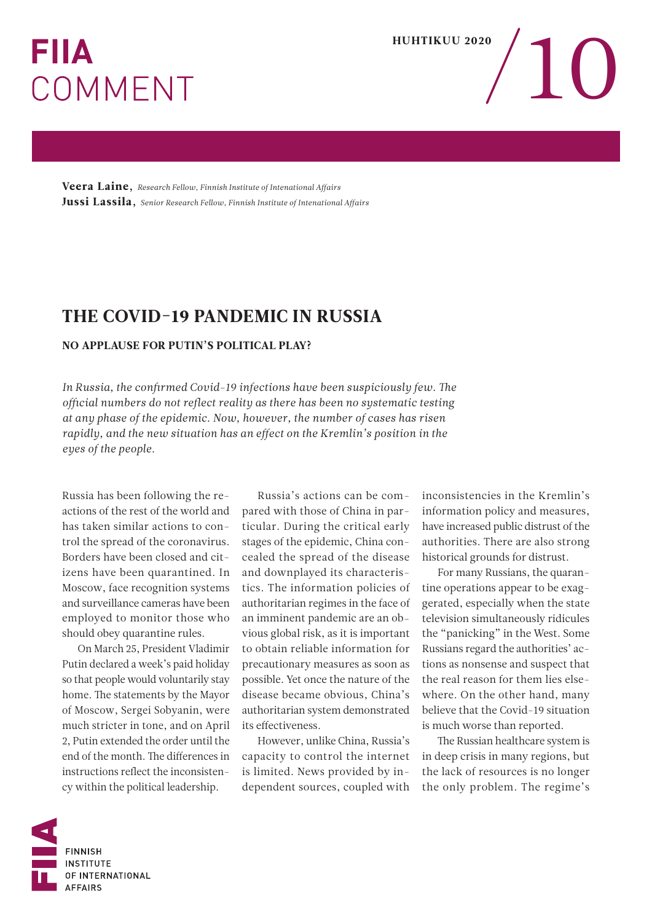## **FIIA** COMMENT



Veera Laine, *Research Fellow, Finnish Institute of Intenational Affairs* Jussi Lassila, *Senior Research Fellow, Finnish Institute of Intenational Affairs*

## THE COVID-19 PANDEMIC IN RUSSIA

## NO APPLAUSE FOR PUTIN'S POLITICAL PLAY?

*In Russia, the confirmed Covid-19 infections have been suspiciously few. The official numbers do not reflect reality as there has been no systematic testing at any phase of the epidemic. Now, however, the number of cases has risen rapidly, and the new situation has an effect on the Kremlin's position in the eyes of the people.*

Russia has been following the reactions of the rest of the world and has taken similar actions to control the spread of the coronavirus. Borders have been closed and citizens have been quarantined. In Moscow, face recognition systems and surveillance cameras have been employed to monitor those who should obey quarantine rules.

On March 25, President Vladimir Putin declared a week's paid holiday so that people would voluntarily stay home. The statements by the Mayor of Moscow, Sergei Sobyanin, were much stricter in tone, and on April 2, Putin extended the order until the end of the month. The differences in instructions reflect the inconsistency within the political leadership.

Russia's actions can be compared with those of China in particular. During the critical early stages of the epidemic, China concealed the spread of the disease and downplayed its characteristics. The information policies of authoritarian regimes in the face of an imminent pandemic are an obvious global risk, as it is important to obtain reliable information for precautionary measures as soon as possible. Yet once the nature of the disease became obvious, China's authoritarian system demonstrated its effectiveness.

However, unlike China, Russia's capacity to control the internet is limited. News provided by independent sources, coupled with

inconsistencies in the Kremlin's information policy and measures, have increased public distrust of the authorities. There are also strong historical grounds for distrust.

For many Russians, the quarantine operations appear to be exaggerated, especially when the state television simultaneously ridicules the "panicking" in the West. Some Russians regard the authorities' actions as nonsense and suspect that the real reason for them lies elsewhere. On the other hand, many believe that the Covid-19 situation is much worse than reported.

The Russian healthcare system is in deep crisis in many regions, but the lack of resources is no longer the only problem. The regime's